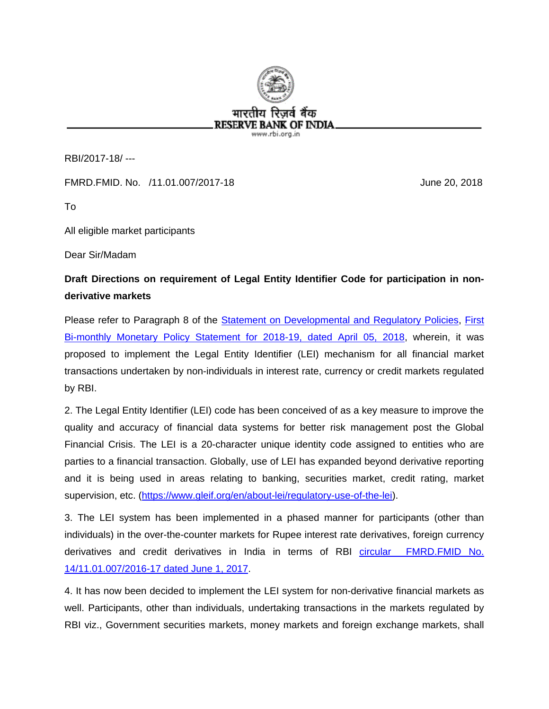

RBI/2017-18/ ---

FMRD.FMID. No. /11.01.007/2017-18 June 20, 2018

To

All eligible market participants

Dear Sir/Madam

## **Draft Directions on requirement of Legal Entity Identifier Code for participation in nonderivative markets**

Please refer to Paragraph 8 of the [Statement on Developmental and Regulatory Policies,](https://rbi.org.in/Scripts/BS_PressReleaseDisplay.aspx?prid=43574) [First](https://rbi.org.in/Scripts/BS_PressReleaseDisplay.aspx?prid=43573) [Bi-monthly Monetary Policy Statement for 2018-19,](https://rbi.org.in/Scripts/BS_PressReleaseDisplay.aspx?prid=43573) dated April 05, 2018, wherein, it was proposed to implement the Legal Entity Identifier (LEI) mechanism for all financial market transactions undertaken by non-individuals in interest rate, currency or credit markets regulated by RBI.

2. The Legal Entity Identifier (LEI) code has been conceived of as a key measure to improve the quality and accuracy of financial data systems for better risk management post the Global Financial Crisis. The LEI is a 20-character unique identity code assigned to entities who are parties to a financial transaction. Globally, use of LEI has expanded beyond derivative reporting and it is being used in areas relating to banking, securities market, credit rating, market supervision, etc. [\(https://www.gleif.org/en/about-lei/regulatory-use-of-the-lei\)](https://www.gleif.org/en/about-lei/regulatory-use-of-the-lei).

3. The LEI system has been implemented in a phased manner for participants (other than individuals) in the over-the-counter markets for Rupee interest rate derivatives, foreign currency derivatives and credit derivatives in India in terms of RBI [circular FMRD.FMID No.](https://rbi.org.in/Scripts/NotificationUser.aspx?Id=10988&Mode=0)  [14/11.01.007/2016-17 dated June 1, 2017.](https://rbi.org.in/Scripts/NotificationUser.aspx?Id=10988&Mode=0)

4. It has now been decided to implement the LEI system for non-derivative financial markets as well. Participants, other than individuals, undertaking transactions in the markets regulated by RBI viz., Government securities markets, money markets and foreign exchange markets, shall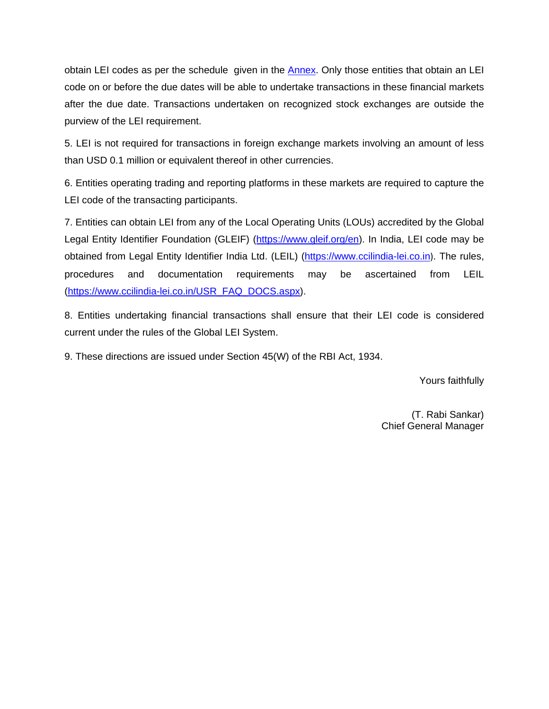obtain LEI codes as per the schedule given in the [Annex.](#page-2-0) Only those entities that obtain an LEI code on or before the due dates will be able to undertake transactions in these financial markets after the due date. Transactions undertaken on recognized stock exchanges are outside the purview of the LEI requirement.

5. LEI is not required for transactions in foreign exchange markets involving an amount of less than USD 0.1 million or equivalent thereof in other currencies.

6. Entities operating trading and reporting platforms in these markets are required to capture the LEI code of the transacting participants.

7. Entities can obtain LEI from any of the Local Operating Units (LOUs) accredited by the Global Legal Entity Identifier Foundation (GLEIF) [\(https://www.gleif.org/en\)](https://www.gleif.org/en). In India, LEI code may be obtained from Legal Entity Identifier India Ltd. (LEIL) [\(https://www.ccilindia-lei.co.in](https://www.ccilindia-lei.co.in/)). The rules, procedures and documentation requirements may be ascertained from LEIL [\(https://www.ccilindia-lei.co.in/USR\\_FAQ\\_DOCS.aspx\)](https://www.ccilindia-lei.co.in/USR_FAQ_DOCS.aspx).

8. Entities undertaking financial transactions shall ensure that their LEI code is considered current under the rules of the Global LEI System.

9. These directions are issued under Section 45(W) of the RBI Act, 1934.

Yours faithfully

(T. Rabi Sankar) Chief General Manager